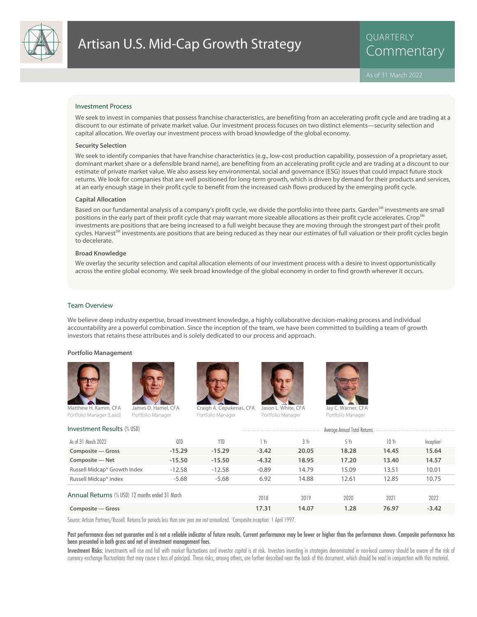

QUARTERLY

#### Investment Process

We seek to invest in companies that possess franchise characteristics, are benefiting from an accelerating profit cycle and are trading at a discount to our estimate of private market value. Our investment process focuses on two distinct elements—security selection and capital allocation. We overlay our investment process with broad knowledge of the global economy.

#### **Security Selection**

We seek to identify companies that have franchise characteristics (e.g., low-cost production capability, possession of a proprietary asset, dominant market share or a defensible brand name), are benefiting from an accelerating profit cycle and are trading at a discount to our estimate of private market value. We also assess key environmental, social and governance (ESG) issues that could impact future stock returns. We look for companies that are well positioned for long-term growth, which is driven by demand for their products and services, at an early enough stage in their profit cycle to benefit from the increased cash flows produced by the emerging profit cycle.

#### **Capital Allocation**

Based on our fundamental analysis of a company's profit cycle, we divide the portfolio into three parts. Garden<sup>SM</sup> investments are small positions in the early part of their profit cycle that may warrant more sizeable allocations as their profit cycle accelerates. Crop<sup>SM</sup> investments are positions that are being increased to a full weight because they are moving through the strongest part of their profit cycles. Harvest<sup>SM</sup> investments are positions that are being reduced as they near our estimates of full valuation or their profit cycles begin to decelerate.

# **Broad Knowledge**

We overlay the security selection and capital allocation elements of our investment process with a desire to invest opportunistically across the entire global economy. We seek broad knowledge of the global economy in order to find growth wherever it occurs.

#### Team Overview

We believe deep industry expertise, broad investment knowledge, a highly collaborative decision-making process and individual accountability are a powerful combination. Since the inception of the team, we have been committed to building a team of growth investors that retains these attributes and is solely dedicated to our process and approach.

#### **Portfolio Management**







Portfolio Manager

Craigh A. Cepukenas, CFA



Portfolio Manager



Portfolio Manager

Investment Results (% USD) and the Contract Average Annual Total Returns and Total Returns and Total Returns and Russell Midcap® Index -5.68 -5.68 -5.68 12.85 10.75 Russell Midcap® Growth Index -12.58 -12.58 -0.89 14.79 15.09 13.51 10.01 **Composite — Net -15.50 -15.50 -4.32 18.95 17.20 13.40 14.57 Composite — Gross -15.29 -15.29 -3.42 20.05 18.28 14.45 15.64** Inception As of 31 March 2022 QTD YTD 1 Yr 3 Yr 5 Yr 10 Yr Annual Returns (% USD) 12 months ended 31 March **Composite — Gross 17.31 14.07 1.28 76.97 -3.42** 2018 2019 2020 2021 2022

Source: Artisan Partners/Russell. Returns for periods less than one year are not annualized. <sup>1</sup> Composite inception: 1 April 1997.

#### Past performance does not guarantee and is not a reliable indicator of future results. Current performance may be lower or higher than the performance shown. Composite performance has been presented in both gross and net of investment management fees.

Investment Risks: Investments will rise and fall with market fluctuations and investor capital is at risk. Investors investing in strategies denominated in non-local currency should be aware of the risk of currency exchange fluctuations that may cause a loss of principal. These risks, among others, are further described near the back of this document, which should be read in conjunction with this material.

Portfolio Manager (Lead) Portfolio Manager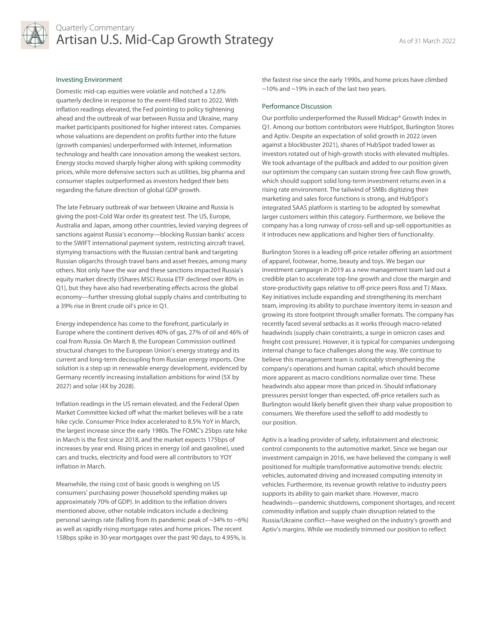

# Quarterly Commentary Artisan U.S. Mid-Cap Growth Strategy As of 31 March 2022

# Investing Environment

Domestic mid-cap equities were volatile and notched a 12.6% quarterly decline in response to the event-filled start to 2022. With inflation readings elevated, the Fed pointing to policy tightening ahead and the outbreak of war between Russia and Ukraine, many market participants positioned for higher interest rates. Companies whose valuations are dependent on profits further into the future (growth companies) underperformed with Internet, information technology and health care innovation among the weakest sectors. Energy stocks moved sharply higher along with spiking commodity prices, while more defensive sectors such as utilities, big pharma and consumer staples outperformed as investors hedged their bets regarding the future direction of global GDP growth.

The late February outbreak of war between Ukraine and Russia is giving the post-Cold War order its greatest test. The US, Europe, Australia and Japan, among other countries, levied varying degrees of sanctions against Russia's economy—blocking Russian banks' access to the SWIFT international payment system, restricting aircraft travel, stymying transactions with the Russian central bank and targeting Russian oligarchs through travel bans and asset freezes, among many others. Not only have the war and these sanctions impacted Russia's equity market directly (iShares MSCI Russia ETF declined over 80% in Q1), but they have also had reverberating effects across the global economy—further stressing global supply chains and contributing to a 39% rise in Brent crude oil's price in Q1.

Energy independence has come to the forefront, particularly in Europe where the continent derives 40% of gas, 27% of oil and 46% of coal from Russia. On March 8, the European Commission outlined structural changes to the European Union's energy strategy and its current and long-term decoupling from Russian energy imports. One solution is a step up in renewable energy development, evidenced by Germany recently increasing installation ambitions for wind (5X by 2027) and solar (4X by 2028).

Inflation readings in the US remain elevated, and the Federal Open Market Committee kicked off what the market believes will be a rate hike cycle. Consumer Price Index accelerated to 8.5% YoY in March, the largest increase since the early 1980s. The FOMC's 25bps rate hike in March is the first since 2018, and the market expects 175bps of increases by year end. Rising prices in energy (oil and gasoline), used cars and trucks, electricity and food were all contributors to YOY inflation in March.

Meanwhile, the rising cost of basic goods is weighing on US consumers' purchasing power (household spending makes up approximately 70% of GDP). In addition to the inflation drivers mentioned above, other notable indicators include a declining personal savings rate (falling from its pandemic peak of  $\sim$ 34% to  $\sim$ 6%) as well as rapidly rising mortgage rates and home prices. The recent 158bps spike in 30-year mortgages over the past 90 days, to 4.95%, is

the fastest rise since the early 1990s, and home prices have climbed ~10% and ~19% in each of the last two years.

# Performance Discussion

Our portfolio underperformed the Russell Midcap® Growth Index in Q1. Among our bottom contributors were HubSpot, Burlington Stores and Aptiv. Despite an expectation of solid growth in 2022 (even against a blockbuster 2021), shares of HubSpot traded lower as investors rotated out of high-growth stocks with elevated multiples. We took advantage of the pullback and added to our position given our optimism the company can sustain strong free cash flow growth, which should support solid long-term investment returns even in a rising rate environment. The tailwind of SMBs digitizing their marketing and sales force functions is strong, and HubSpot's integrated SAAS platform is starting to be adopted by somewhat larger customers within this category. Furthermore, we believe the company has a long runway of cross-sell and up-sell opportunities as it introduces new applications and higher tiers of functionality.

Burlington Stores is a leading off-price retailer offering an assortment of apparel, footwear, home, beauty and toys. We began our investment campaign in 2019 as a new management team laid out a credible plan to accelerate top-line growth and close the margin and store-productivity gaps relative to off-price peers Ross and TJ Maxx. Key initiatives include expanding and strengthening its merchant team, improving its ability to purchase inventory items in-season and growing its store footprint through smaller formats. The company has recently faced several setbacks as it works through macro-related headwinds (supply chain constraints, a surge in omicron cases and freight cost pressure). However, it is typical for companies undergoing internal change to face challenges along the way. We continue to believe this management team is noticeably strengthening the company's operations and human capital, which should become more apparent as macro conditions normalize over time. These headwinds also appear more than priced in. Should inflationary pressures persist longer than expected, off-price retailers such as Burlington would likely benefit given their sharp value proposition to consumers. We therefore used the selloff to add modestly to our position.

Aptiv is a leading provider of safety, infotainment and electronic control components to the automotive market. Since we began our investment campaign in 2016, we have believed the company is well positioned for multiple transformative automotive trends: electric vehicles, automated driving and increased computing intensity in vehicles. Furthermore, its revenue growth relative to industry peers supports its ability to gain market share. However, macro headwinds—pandemic shutdowns, component shortages, and recent commodity inflation and supply chain disruption related to the Russia/Ukraine conflict—have weighed on the industry's growth and Aptiv's margins. While we modestly trimmed our position to reflect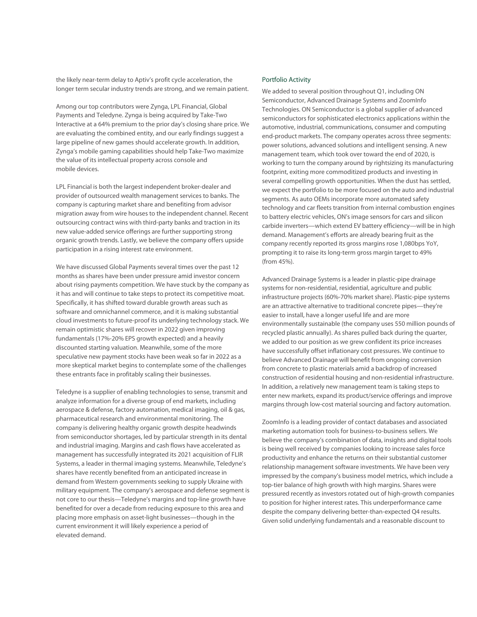the likely near-term delay to Aptiv's profit cycle acceleration, the longer term secular industry trends are strong, and we remain patient.

Among our top contributors were Zynga, LPL Financial, Global Payments and Teledyne. Zynga is being acquired by Take-Two Interactive at a 64% premium to the prior day's closing share price. We are evaluating the combined entity, and our early findings suggest a large pipeline of new games should accelerate growth. In addition, Zynga's mobile gaming capabilities should help Take-Two maximize the value of its intellectual property across console and mobile devices.

LPL Financial is both the largest independent broker-dealer and provider of outsourced wealth management services to banks. The company is capturing market share and benefiting from advisor migration away from wire houses to the independent channel. Recent outsourcing contract wins with third-party banks and traction in its new value-added service offerings are further supporting strong organic growth trends. Lastly, we believe the company offers upside participation in a rising interest rate environment.

We have discussed Global Payments several times over the past 12 months as shares have been under pressure amid investor concern about rising payments competition. We have stuck by the company as it has and will continue to take steps to protect its competitive moat. Specifically, it has shifted toward durable growth areas such as software and omnichannel commerce, and it is making substantial cloud investments to future-proof its underlying technology stack. We remain optimistic shares will recover in 2022 given improving fundamentals (17%-20% EPS growth expected) and a heavily discounted starting valuation. Meanwhile, some of the more speculative new payment stocks have been weak so far in 2022 as a more skeptical market begins to contemplate some of the challenges these entrants face in profitably scaling their businesses.

Teledyne is a supplier of enabling technologies to sense, transmit and analyze information for a diverse group of end markets, including aerospace & defense, factory automation, medical imaging, oil & gas, pharmaceutical research and environmental monitoring. The company is delivering healthy organic growth despite headwinds from semiconductor shortages, led by particular strength in its dental and industrial imaging. Margins and cash flows have accelerated as management has successfully integrated its 2021 acquisition of FLIR Systems, a leader in thermal imaging systems. Meanwhile, Teledyne's shares have recently benefited from an anticipated increase in demand from Western governments seeking to supply Ukraine with military equipment. The company's aerospace and defense segment is not core to our thesis—Teledyne's margins and top-line growth have benefited for over a decade from reducing exposure to this area and placing more emphasis on asset-light businesses—though in the current environment it will likely experience a period of elevated demand.

# Portfolio Activity

We added to several position throughout Q1, including ON Semiconductor, Advanced Drainage Systems and ZoomInfo Technologies. ON Semiconductor is a global supplier of advanced semiconductors for sophisticated electronics applications within the automotive, industrial, communications, consumer and computing end-product markets. The company operates across three segments: power solutions, advanced solutions and intelligent sensing. A new management team, which took over toward the end of 2020, is working to turn the company around by rightsizing its manufacturing footprint, exiting more commoditized products and investing in several compelling growth opportunities. When the dust has settled, we expect the portfolio to be more focused on the auto and industrial segments. As auto OEMs incorporate more automated safety technology and car fleets transition from internal combustion engines to battery electric vehicles, ON's image sensors for cars and silicon carbide inverters—which extend EV battery efficiency—will be in high demand. Management's efforts are already bearing fruit as the company recently reported its gross margins rose 1,080bps YoY, prompting it to raise its long-term gross margin target to 49% (from 45%).

Advanced Drainage Systems is a leader in plastic-pipe drainage systems for non-residential, residential, agriculture and public infrastructure projects (60%-70% market share). Plastic-pipe systems are an attractive alternative to traditional concrete pipes—they're easier to install, have a longer useful life and are more environmentally sustainable (the company uses 550 million pounds of recycled plastic annually). As shares pulled back during the quarter, we added to our position as we grew confident its price increases have successfully offset inflationary cost pressures. We continue to believe Advanced Drainage will benefit from ongoing conversion from concrete to plastic materials amid a backdrop of increased construction of residential housing and non-residential infrastructure. In addition, a relatively new management team is taking steps to enter new markets, expand its product/service offerings and improve margins through low-cost material sourcing and factory automation.

ZoomInfo is a leading provider of contact databases and associated marketing automation tools for business-to-business sellers. We believe the company's combination of data, insights and digital tools is being well received by companies looking to increase sales force productivity and enhance the returns on their substantial customer relationship management software investments. We have been very impressed by the company's business model metrics, which include a top-tier balance of high growth with high margins. Shares were pressured recently as investors rotated out of high-growth companies to position for higher interest rates. This underperformance came despite the company delivering better-than-expected Q4 results. Given solid underlying fundamentals and a reasonable discount to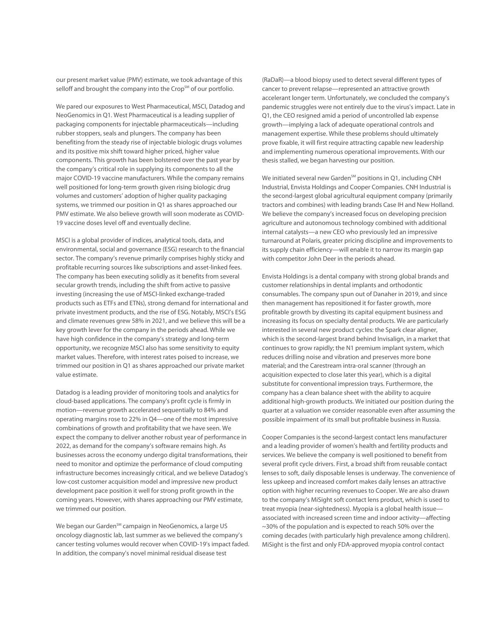our present market value (PMV) estimate, we took advantage of this selloff and brought the company into the Crop<sup>SM</sup> of our portfolio.

We pared our exposures to West Pharmaceutical, MSCI, Datadog and NeoGenomics in Q1. West Pharmaceutical is a leading supplier of packaging components for injectable pharmaceuticals—including rubber stoppers, seals and plungers. The company has been benefiting from the steady rise of injectable biologic drugs volumes and its positive mix shift toward higher priced, higher value components. This growth has been bolstered over the past year by the company's critical role in supplying its components to all the major COVID-19 vaccine manufacturers. While the company remains well positioned for long-term growth given rising biologic drug volumes and customers' adoption of higher quality packaging systems, we trimmed our position in Q1 as shares approached our PMV estimate. We also believe growth will soon moderate as COVID-19 vaccine doses level off and eventually decline.

MSCI is a global provider of indices, analytical tools, data, and environmental, social and governance (ESG) research to the financial sector. The company's revenue primarily comprises highly sticky and profitable recurring sources like subscriptions and asset-linked fees. The company has been executing solidly as it benefits from several secular growth trends, including the shift from active to passive investing (increasing the use of MSCI-linked exchange-traded products such as ETFs and ETNs), strong demand for international and private investment products, and the rise of ESG. Notably, MSCI's ESG and climate revenues grew 58% in 2021, and we believe this will be a key growth lever for the company in the periods ahead. While we have high confidence in the company's strategy and long-term opportunity, we recognize MSCI also has some sensitivity to equity market values. Therefore, with interest rates poised to increase, we trimmed our position in Q1 as shares approached our private market value estimate.

Datadog is a leading provider of monitoring tools and analytics for cloud-based applications. The company's profit cycle is firmly in motion—revenue growth accelerated sequentially to 84% and operating margins rose to 22% in Q4—one of the most impressive combinations of growth and profitability that we have seen. We expect the company to deliver another robust year of performance in 2022, as demand for the company's software remains high. As businesses across the economy undergo digital transformations, their need to monitor and optimize the performance of cloud computing infrastructure becomes increasingly critical, and we believe Datadog's low-cost customer acquisition model and impressive new product development pace position it well for strong profit growth in the coming years. However, with shares approaching our PMV estimate, we trimmed our position.

We began our Garden<sup>SM</sup> campaign in NeoGenomics, a large US oncology diagnostic lab, last summer as we believed the company's cancer testing volumes would recover when COVID-19's impact faded. In addition, the company's novel minimal residual disease test

(RaDaR)—a blood biopsy used to detect several different types of cancer to prevent relapse—represented an attractive growth accelerant longer term. Unfortunately, we concluded the company's pandemic struggles were not entirely due to the virus's impact. Late in Q1, the CEO resigned amid a period of uncontrolled lab expense growth—implying a lack of adequate operational controls and management expertise. While these problems should ultimately prove fixable, it will first require attracting capable new leadership and implementing numerous operational improvements. With our thesis stalled, we began harvesting our position.

We initiated several new Garden<sup>SM</sup> positions in Q1, including CNH Industrial, Envista Holdings and Cooper Companies. CNH Industrial is the second-largest global agricultural equipment company (primarily tractors and combines) with leading brands Case IH and New Holland. We believe the company's increased focus on developing precision agriculture and autonomous technology combined with additional internal catalysts—a new CEO who previously led an impressive turnaround at Polaris, greater pricing discipline and improvements to its supply chain efficiency—will enable it to narrow its margin gap with competitor John Deer in the periods ahead.

Envista Holdings is a dental company with strong global brands and customer relationships in dental implants and orthodontic consumables. The company spun out of Danaher in 2019, and since then management has repositioned it for faster growth, more profitable growth by divesting its capital equipment business and increasing its focus on specialty dental products. We are particularly interested in several new product cycles: the Spark clear aligner, which is the second-largest brand behind Invisalign, in a market that continues to grow rapidly; the N1 premium implant system, which reduces drilling noise and vibration and preserves more bone material; and the Carestream intra-oral scanner (through an acquisition expected to close later this year), which is a digital substitute for conventional impression trays. Furthermore, the company has a clean balance sheet with the ability to acquire additional high-growth products. We initiated our position during the quarter at a valuation we consider reasonable even after assuming the possible impairment of its small but profitable business in Russia.

Cooper Companies is the second-largest contact lens manufacturer and a leading provider of women's health and fertility products and services. We believe the company is well positioned to benefit from several profit cycle drivers. First, a broad shift from reusable contact lenses to soft, daily disposable lenses is underway. The convenience of less upkeep and increased comfort makes daily lenses an attractive option with higher recurring revenues to Cooper. We are also drawn to the company's MiSight soft contact lens product, which is used to treat myopia (near-sightedness). Myopia is a global health issue associated with increased screen time and indoor activity—affecting ~30% of the population and is expected to reach 50% over the coming decades (with particularly high prevalence among children). MiSight is the first and only FDA-approved myopia control contact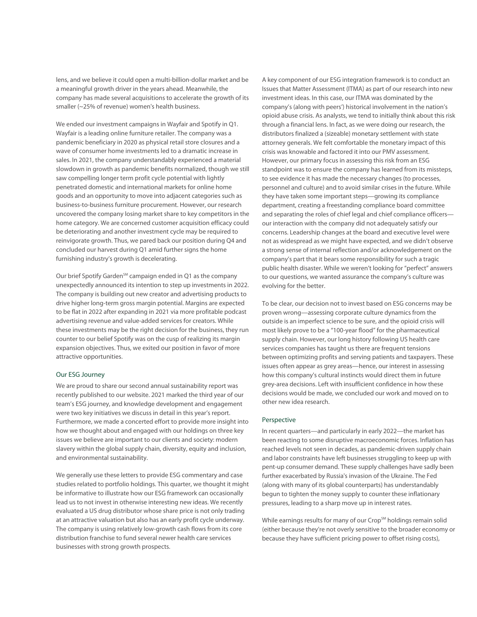lens, and we believe it could open a multi-billion-dollar market and be a meaningful growth driver in the years ahead. Meanwhile, the company has made several acquisitions to accelerate the growth of its smaller (~25% of revenue) women's health business.

We ended our investment campaigns in Wayfair and Spotify in Q1. Wayfair is a leading online furniture retailer. The company was a pandemic beneficiary in 2020 as physical retail store closures and a wave of consumer home investments led to a dramatic increase in sales. In 2021, the company understandably experienced a material slowdown in growth as pandemic benefits normalized, though we still saw compelling longer term profit cycle potential with lightly penetrated domestic and international markets for online home goods and an opportunity to move into adjacent categories such as business-to-business furniture procurement. However, our research uncovered the company losing market share to key competitors in the home category. We are concerned customer acquisition efficacy could be deteriorating and another investment cycle may be required to reinvigorate growth. Thus, we pared back our position during Q4 and concluded our harvest during Q1 amid further signs the home furnishing industry's growth is decelerating.

Our brief Spotify Garden<sup>SM</sup> campaign ended in Q1 as the company unexpectedly announced its intention to step up investments in 2022. The company is building out new creator and advertising products to drive higher long-term gross margin potential. Margins are expected to be flat in 2022 after expanding in 2021 via more profitable podcast advertising revenue and value-added services for creators. While these investments may be the right decision for the business, they run counter to our belief Spotify was on the cusp of realizing its margin expansion objectives. Thus, we exited our position in favor of more attractive opportunities.

# Our ESG Journey

We are proud to share our second annual sustainability report was recently published to our website. 2021 marked the third year of our team's ESG journey, and knowledge development and engagement were two key initiatives we discuss in detail in this year's report. Furthermore, we made a concerted effort to provide more insight into how we thought about and engaged with our holdings on three key issues we believe are important to our clients and society: modern slavery within the global supply chain, diversity, equity and inclusion, and environmental sustainability.

We generally use these letters to provide ESG commentary and case studies related to portfolio holdings. This quarter, we thought it might be informative to illustrate how our ESG framework can occasionally lead us to not invest in otherwise interesting new ideas. We recently evaluated a US drug distributor whose share price is not only trading at an attractive valuation but also has an early profit cycle underway. The company is using relatively low-growth cash flows from its core distribution franchise to fund several newer health care services businesses with strong growth prospects.

A key component of our ESG integration framework is to conduct an Issues that Matter Assessment (ITMA) as part of our research into new investment ideas. In this case, our ITMA was dominated by the company's (along with peers') historical involvement in the nation's opioid abuse crisis. As analysts, we tend to initially think about this risk through a financial lens. In fact, as we were doing our research, the distributors finalized a (sizeable) monetary settlement with state attorney generals. We felt comfortable the monetary impact of this crisis was knowable and factored it into our PMV assessment. However, our primary focus in assessing this risk from an ESG standpoint was to ensure the company has learned from its missteps, to see evidence it has made the necessary changes (to processes, personnel and culture) and to avoid similar crises in the future. While they have taken some important steps—growing its compliance department, creating a freestanding compliance board committee and separating the roles of chief legal and chief compliance officers our interaction with the company did not adequately satisfy our concerns. Leadership changes at the board and executive level were not as widespread as we might have expected, and we didn't observe a strong sense of internal reflection and/or acknowledgement on the company's part that it bears some responsibility for such a tragic public health disaster. While we weren't looking for "perfect" answers to our questions, we wanted assurance the company's culture was evolving for the better.

To be clear, our decision not to invest based on ESG concerns may be proven wrong—assessing corporate culture dynamics from the outside is an imperfect science to be sure, and the opioid crisis will most likely prove to be a "100-year flood" for the pharmaceutical supply chain. However, our long history following US health care services companies has taught us there are frequent tensions between optimizing profits and serving patients and taxpayers. These issues often appear as grey areas—hence, our interest in assessing how this company's cultural instincts would direct them in future grey-area decisions. Left with insufficient confidence in how these decisions would be made, we concluded our work and moved on to other new idea research.

#### Perspective

In recent quarters—and particularly in early 2022—the market has been reacting to some disruptive macroeconomic forces. Inflation has reached levels not seen in decades, as pandemic-driven supply chain and labor constraints have left businesses struggling to keep up with pent-up consumer demand. These supply challenges have sadly been further exacerbated by Russia's invasion of the Ukraine. The Fed (along with many of its global counterparts) has understandably begun to tighten the money supply to counter these inflationary pressures, leading to a sharp move up in interest rates.

While earnings results for many of our Crop<sup>SM</sup> holdings remain solid (either because they're not overly sensitive to the broader economy or because they have sufficient pricing power to offset rising costs),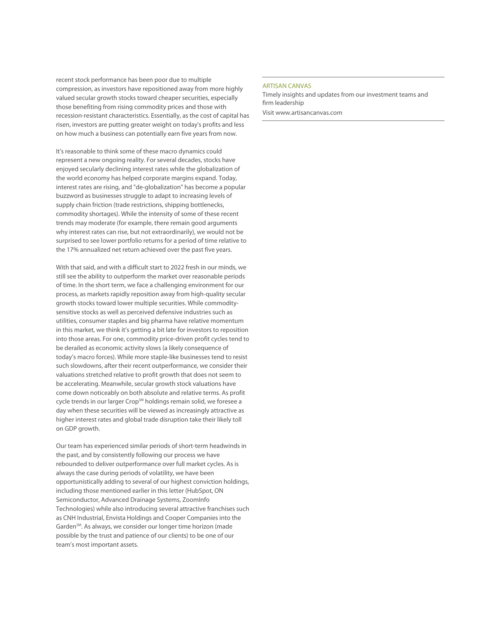recent stock performance has been poor due to multiple compression, as investors have repositioned away from more highly valued secular growth stocks toward cheaper securities, especially those benefiting from rising commodity prices and those with recession-resistant characteristics. Essentially, as the cost of capital has risen, investors are putting greater weight on today's profits and less on how much a business can potentially earn five years from now.

It's reasonable to think some of these macro dynamics could represent a new ongoing reality. For several decades, stocks have enjoyed secularly declining interest rates while the globalization of the world economy has helped corporate margins expand. Today, interest rates are rising, and "de-globalization" has become a popular buzzword as businesses struggle to adapt to increasing levels of supply chain friction (trade restrictions, shipping bottlenecks, commodity shortages). While the intensity of some of these recent trends may moderate (for example, there remain good arguments why interest rates can rise, but not extraordinarily), we would not be surprised to see lower portfolio returns for a period of time relative to the 17% annualized net return achieved over the past five years.

With that said, and with a difficult start to 2022 fresh in our minds, we still see the ability to outperform the market over reasonable periods of time. In the short term, we face a challenging environment for our process, as markets rapidly reposition away from high-quality secular growth stocks toward lower multiple securities. While commoditysensitive stocks as well as perceived defensive industries such as utilities, consumer staples and big pharma have relative momentum in this market, we think it's getting a bit late for investors to reposition into those areas. For one, commodity price-driven profit cycles tend to be derailed as economic activity slows (a likely consequence of today's macro forces). While more staple-like businesses tend to resist such slowdowns, after their recent outperformance, we consider their valuations stretched relative to profit growth that does not seem to be accelerating. Meanwhile, secular growth stock valuations have come down noticeably on both absolute and relative terms. As profit cycle trends in our larger Crop<sup>SM</sup> holdings remain solid, we foresee a day when these securities will be viewed as increasingly attractive as higher interest rates and global trade disruption take their likely toll on GDP growth.

Our team has experienced similar periods of short-term headwinds in the past, and by consistently following our process we have rebounded to deliver outperformance over full market cycles. As is always the case during periods of volatility, we have been opportunistically adding to several of our highest conviction holdings, including those mentioned earlier in this letter (HubSpot, ON Semiconductor, Advanced Drainage Systems, ZoomInfo Technologies) while also introducing several attractive franchises such as CNH Industrial, Envista Holdings and Cooper Companies into the Garden<sup>SM</sup>. As always, we consider our longer time horizon (made possible by the trust and patience of our clients) to be one of our team's most important assets.

#### ARTISAN CANVAS

Timely insights and updates from our investment teams and firm leadership Visit www.artisancanvas.com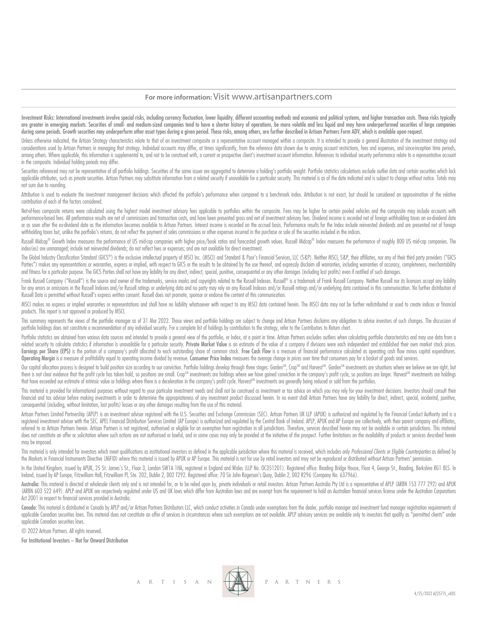# **For more information:** Visit www.artisanpartners.com

Investment Risks: International investments involve special risks, including currency fluctuation, lower liquidity, different accounting methods and economic and political systems, and higher transaction costs. These risks are greater in emerging markets. Securities of small- and medium-sized companies tend to have a shorter history of operations, be more volatile and less liquid and may have underperformed securities of large companies during some periods. Growth securities may underperform other asset types during a given period. These risks, among others, are further described in Artisan Partners Form ADV, which is available upon request.

Unless otherwise indicated, the Artisan Strateav characteristics relate to that of an investment composite or a representative account managed within a composite. It is intended to provide a general illustration of the inv considerations used by Artisan Partners in managing that strategy. Individual accounts may differ, at times significantly, from the reference data shown due to varying account restrictions, fees and expenses, and since inc among others. Where applicable, this information is supplemental to, and not to be construed with, a current or prospective client's investment account information. References to individual security performance relate to a in the composite. Individual holding periods may differ.

Securities referenced may not be representative of all portfolio holdings. Securities of the same issuer are aggregated to determine a holding's portfolio weight. Portfolio statistics calculations exclude outlier data and applicable attributes, such as private securities. Artisan Partners may substitute information from a related security if unavailable for a particular security. This material is as of the date indicated and is subject to c not sum due to rounding.

Attribution is used to evaluate the investment management decisions which affected the portfolio's performance when compared to a benchmark index. Attribution is not exact, but should be considered an approximation of the contribution of each of the factors considered.

Net-of-fees composite returns were calculated using the highest model investment advisory fees applicable to portfolios within the composite. Fees may be higher for certain pooled vehicles and the composite may include acc performance-based fees. All performance results are net of commissions and transaction costs, and have been presented gross and net of investment advisory fees. Dividend income is recorded net of foreign withholding taxes or as soon after the ex-dividend date as the information becomes available to Artisan Partners. Interest income is recorded on the accrual basis. Performance results for the Index include reinvested dividends and are prese withholding taxes but, unlike the portfolio's returns, do not reflect the payment of sales commissions or other expenses incurred in the purchase or sale of the securities included in the indices.

Russell Midcap® Growth Index measures the performance of US mid-cap companies with higher price/book ratios and forecasted growth values. Russell Midcap® Index measures the performance of roughly 800 US mid-cap companies. index(es) are unmanaged; include net reinvested dividends; do not reflect fees or expenses; and are not available for direct investment.

The Global Industry Classification Standard (GICS®) is the exclusive intellectual property of MSCI Inc. (MSCI) and Standard & Poor's Financial Services, LLC (S&P). Neither MSCI, S&P, their affiliates, nor any of their thir Parties") makes any representations or warranties, express or implied, with respect to GICS or the results to be obtained by the use thereof, and expressly disclaim all warranties, including warranties of accuracy, complet and fitness for a particular purpose. The GICS Parties shall not have any liability for any direct, indirect, special, punitive, consequential or any other damages (including lost profits) even if notified of such damages.

Frank Russell Company ("Russell") is the source and owner of the trademarks, service marks and copyrights related to the Russell Indexes. Russell® is a trademark of Frank Russell Company. Neither Russell nor its licensors for any errors or omissions in the Russell Indexes and/or Russell ratings or underlying data and no party may rely on any Russell Indexes and/or Russell ratings and/or underlying data contained in this communication. No fu Russell Data is permitted without Russell's express written consent. Russell does not promote, sponsor or endorse the content of this communication.

MSCI makes no express or implied warranties or representations and shall have no liability whatsoever with respect to any MSCI data contained herein. The MSCI data may not be further redistributed or used to create indices products. This report is not approved or produced by MSCI.

This summary represents the views of the portfolio manager as of 31 Mar 2022. Those views and portfolio holdings are subject to change and Artisan Partners disclaims any obligation to advise investors of such changes. The portfolio holdings does not constitute a recommendation of any individual security. For a complete list of holdings by contribution to the strategy, refer to the Contributors to Return chart.

Portfolio statistics are obtained from various data sources and intended to provide a general view of the portfolio, or Index, at a point in time. Artisan Partners excludes outliers when calculating portfolio characteristi related security to calculate statistics if information is unavailable for a particular security. Private Market Value is an estimate of the value of a company if divisions were each independent and established their own m Earnings per Share (EPS) is the portion of a company's profit allocated to each outstanding share of common stock. Free Cash Flow is a measure of financial performance calculated as operating cash flow minus capital expend Operating Margin is a measure of profitability equal to operating income divided by revenue. Consumer Price Index measures the average change in prices over time that consumers pay for a basket of goods and services.

Our capital allocation process is designed to build position size according to our conviction. Portfolio holdings develop through three stages: Garden<sup>SM</sup>, Crop<sup>SM</sup> and Harvest<sup>SM</sup>. Garden<sup>SM</sup> investments are situations wh there is not clear evidence that the profit cycle has taken hold, so positions are small. Crop<sup>SM</sup> investments are holdings where we have gained conviction in the company's profit cycle, so positions are larger. Harvest<sup>sM</sup> that have exceeded our estimate of intrinsic value or holdings where there is a deceleration in the company's profit cycle. Harvest<sup>SM</sup> investments are generally being reduced or sold from the portfolios.

This material is provided for informational purposes without regard to your particular investment needs and shall not be construed as investment or tax advice on which you may rely for your investment decisions. Investors financial and tax adviser before making investments in order to determine the appropriateness of any investment product discussed herein. In no event shall Artisan Partners have any liability for direct, indirect, special, consequential (including, without limitation, lost profits) losses or any other damages resulting from the use of this material.

Artisan Partners Limited Partnership (APLP) is an investment adviser registered with the U.S. Securities and Exchange Commission (SEC). Artisan Partners UK LLP (APUK) is authorized and regulated by the Financial Conduct Au registered investment adviser with the SEC. APEL Financial Distribution Services Limited (AP Europe) is authorized and regulated by the Central Bank of Ireland. APLP, APUK and AP Europe are collectively, with their parent referred to as Artisan Partners herein. Artisan Partners is not registered, authorised or eligible for an exemption from registration in all jurisdictions. Therefore, services described herein may not be available in certa does not constitute an offer or solicitation where such actions are not authorised or lawful, and in some cases may only be provided at the initiative of the prospect. Further limitations on the availability of products or may be imposed.

This material is only intended for investors which meet qualifications as institutional investors as defined in the applicable jurisdiction where this material is received, which includes only Professional Clients or Eligi the Markets in Financial Instruments Directive (MiFID) where this material is issued by APUK or AP Europe. This material is not for use by retail investors and may not be reproduced or distributed without Artisan Partners'

In the United Kingdom, issued by APUK, 25 St. James's St., Floor 3, London SW1A 1HA, registered in England and Wales (LLP No. OC351201). Registered office: Reading Bridge House, Floor 4, George St., Reading, Berkshire RG1 Ireland, issued by AP Europe, Fitzwilliam Hall, Fitzwilliam Pl, Ste. 202, Dublin 2, D02 T292. Registered office: 70 Sir John Rogerson's Quay, Dublin 2, D02 R296 (Company No. 637966).

Australia: This material is directed at wholesale clients only and is not intended for, or to be relied upon by, private individuals or retail investors. Artisan Partnes Australia Pty Ltd is a representative of APLP (ARBN (ARBN 603 522 649). APLP and APUK are respectively regulated under US and UK laws which differ from Australian laws and are exempt from the requirement to hold an Australian financial services license under the Australian Act 2001 in respect to financial services provided in Australia.

Canada: This material is distributed in Canada by APLP and/or Artisan Partners Distributors LLC, which conduct activities in Canada under exemptions from the dealer, portfolio manager and investment fund manager registrati applicable Canadian securities laws. This material does not constitute an offer of services in circumstances where such exemptions are not available. APLP advisory services are available only to investors that quality as " applicable Canadian securities laws.

© 2022 Artisan Partners. All rights reserved.

For Institutional Investors – Not for Onward Distribution